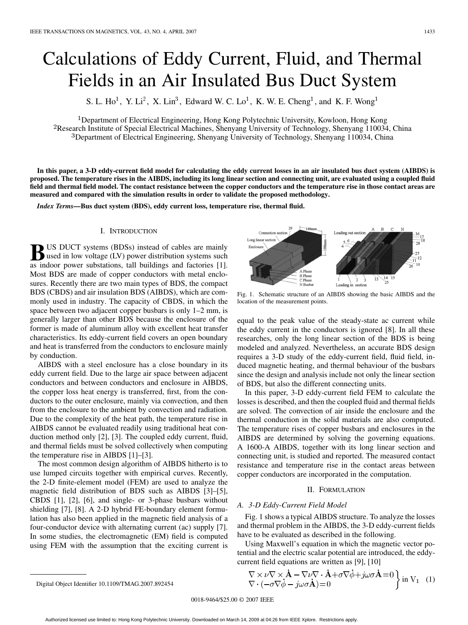# <span id="page-0-0"></span>Calculations of Eddy Current, Fluid, and Thermal Fields in an Air Insulated Bus Duct System

S. L. Ho<sup>1</sup>, Y. Li<sup>2</sup>, X. Lin<sup>3</sup>, Edward W. C. Lo<sup>1</sup>, K. W. E. Cheng<sup>1</sup>, and K. F. Wong<sup>1</sup>

<sup>1</sup>Department of Electrical Engineering, Hong Kong Polytechnic University, Kowloon, Hong Kong <sup>2</sup>Research Institute of Special Electrical Machines, Shenyang University of Technology, Shenyang 110034, China  $3$ Department of Electrical Engineering, Shenyang University of Technology, Shenyang 110034, China

**In this paper, a 3-D eddy-current field model for calculating the eddy current losses in an air insulated bus duct system (AIBDS) is proposed. The temperature rises in the AIBDS, including its long linear section and connecting unit, are evaluated using a coupled fluid field and thermal field model. The contact resistance between the copper conductors and the temperature rise in those contact areas are measured and compared with the simulation results in order to validate the proposed methodology.**

*Index Terms—***Bus duct system (BDS), eddy current loss, temperature rise, thermal fluid.**

#### I. INTRODUCTION

**BUS DUCT** systems (BDSs) instead of cables are mainly used in low voltage (LV) power distribution systems such as indeed now relations to the buildings and fectories [1] as indoor power substations, tall buildings and factories [\[1\].](#page-3-0) Most BDS are made of copper conductors with metal enclosures. Recently there are two main types of BDS, the compact BDS (CBDS) and air insulation BDS (AIBDS), which are commonly used in industry. The capacity of CBDS, in which the space between two adjacent copper busbars is only 1–2 mm, is generally larger than other BDS because the enclosure of the former is made of aluminum alloy with excellent heat transfer characteristics. Its eddy-current field covers an open boundary and heat is transferred from the conductors to enclosure mainly by conduction.

AIBDS with a steel enclosure has a close boundary in its eddy current field. Due to the large air space between adjacent conductors and between conductors and enclosure in AIBDS, the copper loss heat energy is transferred, first, from the conductors to the outer enclosure, mainly via convection, and then from the enclosure to the ambient by convection and radiation. Due to the complexity of the heat path, the temperature rise in AIBDS cannot be evaluated readily using traditional heat conduction method only [\[2\]](#page-3-0), [\[3\].](#page-3-0) The coupled eddy current, fluid, and thermal fields must be solved collectively when computing the temperature rise in AIBDS [\[1\]–\[3\].](#page-3-0)

The most common design algorithm of AIBDS hitherto is to use lumped circuits together with empirical curves. Recently, the 2-D finite-element model (FEM) are used to analyze the magnetic field distribution of BDS such as AIBDS [\[3\]–\[5\],](#page-3-0) CBDS [\[1\]](#page-3-0), [\[2\]](#page-3-0), [\[6\],](#page-3-0) and single- or 3-phase busbars without shielding [\[7\]](#page-3-0), [\[8\].](#page-3-0) A 2-D hybrid FE-boundary element formulation has also been applied in the magnetic field analysis of a four-conductor device with alternating current (ac) supply [\[7\].](#page-3-0) In some studies, the electromagnetic (EM) field is computed using FEM with the assumption that the exciting current is



Fig. 1. Schematic structure of an AIBDS showing the basic AIBDS and the location of the measurement points.

equal to the peak value of the steady-state ac current while the eddy current in the conductors is ignored [\[8\].](#page-3-0) In all these researches, only the long linear section of the BDS is being modeled and analyzed. Nevertheless, an accurate BDS design requires a 3-D study of the eddy-current field, fluid field, induced magnetic heating, and thermal behaviour of the busbars since the design and analysis include not only the linear section of BDS, but also the different connecting units.

In this paper, 3-D eddy-current field FEM to calculate the losses is described, and then the coupled fluid and thermal fields are solved. The convection of air inside the enclosure and the thermal conduction in the solid materials are also computed. The temperature rises of copper busbars and enclosures in the AIBDS are determined by solving the governing equations. A 1600-A AIBDS, together with its long linear section and connecting unit, is studied and reported. The measured contact resistance and temperature rise in the contact areas between copper conductors are incorporated in the computation.

## II. FORMULATION

#### *A. 3-D Eddy-Current Field Model*

Fig. 1 shows a typical AIBDS structure. To analyze the losses and thermal problem in the AIBDS, the 3-D eddy-current fields have to be evaluated as described in the following.

Using Maxwell's equation in which the magnetic vector potential and the electric scalar potential are introduced, the eddycurrent field equations are written as [\[9\]](#page-3-0), [\[10\]](#page-3-0)

$$
\nabla \times \nu \nabla \times \mathbf{\dot{A}} - \nabla \nu \nabla \cdot \mathbf{\dot{A}} + \sigma \nabla \dot{\phi} + j\omega \sigma \mathbf{\dot{A}} = 0 \nabla \cdot (-\sigma \nabla \dot{\phi} - j\omega \sigma \mathbf{\dot{A}}) = 0
$$
 in V<sub>1</sub> (1)

Digital Object Identifier 10.1109/TMAG.2007.892454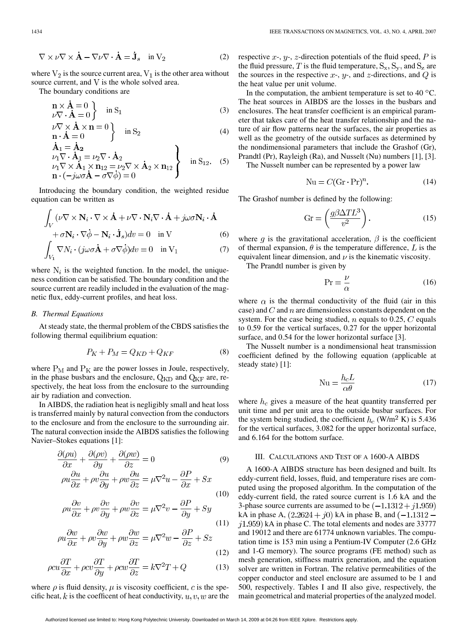$$
\nabla \times \nu \nabla \times \dot{\mathbf{A}} - \nabla \nu \nabla \cdot \dot{\mathbf{A}} = \dot{\mathbf{J}}_s \quad \text{in } V_2 \tag{2}
$$

where  $V_2$  is the source current area,  $V_1$  is the other area without source current, and  $V$  is the whole solved area.

The boundary conditions are

$$
\begin{cases}\n\mathbf{n} \times \mathbf{\dot{A}} = 0 \\
\nu \nabla \cdot \mathbf{\dot{A}} = 0\n\end{cases} \text{ in } S_1
$$
\n(3)

$$
\begin{array}{c}\n\sqrt{V} \times \mathbf{A} \times \mathbf{n} = 0 \\
\mathbf{n} \cdot \dot{\mathbf{A}} = 0\n\end{array} \n\bigg\} \n\text{ in } S_2\n\tag{4}
$$

$$
\mathbf{A}_1 = \mathbf{A}_2 \n\nu_1 \nabla \cdot \dot{\mathbf{A}}_1 = \nu_2 \nabla \cdot \dot{\mathbf{A}}_2 \n\nu_1 \nabla \times \dot{\mathbf{A}}_1 \times \mathbf{n}_{12} = \nu_2 \nabla \times \dot{\mathbf{A}}_2 \times \mathbf{n}_{12} \n\mathbf{n} \cdot (-j\omega \sigma \dot{\mathbf{A}} - \sigma \nabla \dot{\phi}) = 0
$$
 in S<sub>12</sub>. (5)

Introducing the boundary condition, the weighted residue equation can be written as

$$
\int_{V} (\nu \nabla \times \mathbf{N}_{i} \cdot \nabla \times \dot{\mathbf{A}} + \nu \nabla \cdot \mathbf{N}_{i} \nabla \cdot \dot{\mathbf{A}} + j\omega \sigma \mathbf{N}_{i} \cdot \dot{\mathbf{A}} + \sigma \mathbf{N}_{i} \cdot \nabla \dot{\phi} - \mathbf{N}_{i} \cdot \dot{\mathbf{J}}_{s}) dv = 0 \text{ in } V
$$
\n(6)

$$
\int_{V_1} \nabla N_i \cdot (j\omega \sigma \dot{\mathbf{A}} + \sigma \nabla \dot{\phi}) dv = 0 \quad \text{in } V_1 \tag{7}
$$

where  $N_i$  is the weighted function. In the model, the uniqueness condition can be satisfied. The boundary condition and the source current are readily included in the evaluation of the magnetic flux, eddy-current profiles, and heat loss.

#### *B. Thermal Equations*

At steady state, the thermal problem of the CBDS satisfies the following thermal equilibrium equation:

$$
P_K + P_M = Q_{KD} + Q_{KF} \tag{8}
$$

where  $P_M$  and  $P_K$  are the power losses in Joule, respectively, in the phase busbars and the enclosure,  $Q_{KD}$  and  $Q_{KF}$  are, respectively, the heat loss from the enclosure to the surrounding air by radiation and convection.

In AIBDS, the radiation heat is negligibly small and heat loss is transferred mainly by natural convection from the conductors to the enclosure and from the enclosure to the surrounding air. The natural convection inside the AIBDS satisfies the following Navier–Stokes equations [\[1\]](#page-3-0):

$$
\frac{\partial(\rho u)}{\partial x} + \frac{\partial(\rho v)}{\partial y} + \frac{\partial(\rho w)}{\partial z} = 0 \tag{9}
$$

$$
\rho u \frac{\partial u}{\partial x} + \rho v \frac{\partial u}{\partial y} + \rho w \frac{\partial u}{\partial z} = \mu \nabla^2 u - \frac{\partial P}{\partial x} + Sx \tag{10}
$$

$$
\rho u \frac{\partial v}{\partial x} + \rho v \frac{\partial v}{\partial y} + \rho w \frac{\partial v}{\partial z} = \mu \nabla^2 v - \frac{\partial P}{\partial y} + Sy \tag{11}
$$

$$
\rho u \frac{\partial w}{\partial x} + \rho v \frac{\partial w}{\partial y} + \rho w \frac{\partial w}{\partial z} = \mu \nabla^2 w - \frac{\partial P}{\partial z} + Sz
$$

$$
(12)
$$

$$
\rho c u \frac{\partial T}{\partial x} + \rho c v \frac{\partial T}{\partial y} + \rho c w \frac{\partial T}{\partial z} = k \nabla^2 T + Q \tag{13}
$$

where  $\rho$  is fluid density,  $\mu$  is viscosity coefficient, c is the specific heat, k is the coefficent of heat conductivity,  $u, v, w$  are the respective  $x$ -,  $y$ -,  $z$ -direction potentials of the fluid speed,  $P$  is the fluid pressure, T is the fluid temperature,  $S_x$ ,  $S_y$ , and  $S_z$  are the sources in the respective  $x$ -,  $y$ -, and  $z$ -directions, and  $Q$  is the heat value per unit volume.

In the computation, the ambient temperature is set to 40  $^{\circ}$ C. The heat sources in AIBDS are the losses in the busbars and enclosures. The heat transfer coefficient is an empirical parameter that takes care of the heat transfer relationship and the nature of air flow patterns near the surfaces, the air properties as well as the geometry of the outside surfaces as determined by the nondimensional parameters that include the Grashof (Gr), Prandtl (Pr), Rayleigh (Ra), and Nusselt (Nu) numbers [\[1\], \[3\]](#page-3-0).

The Nusselt number can be represented by a power law

$$
Nu = C(Gr \cdot Pr)^n.
$$
 (14)

The Grashof number is defined by the following:

$$
Gr = \left(\frac{g\beta\Delta TL^3}{v^2}\right). \tag{15}
$$

where g is the gravitational acceleration,  $\beta$  is the coefficient of thermal expansion,  $\theta$  is the temperature difference, L is the equivalent linear dimension, and  $\nu$  is the kinematic viscosity.

The Prandtl number is given by

$$
\Pr = \frac{\nu}{\alpha} \tag{16}
$$

where  $\alpha$  is the thermal conductivity of the fluid (air in this case) and  $C$  and  $n$  are dimensionless constants dependent on the system. For the case being studied,  $n$  equals to 0.25,  $C$  equals to 0.59 for the vertical surfaces, 0.27 for the upper horizontal surface, and  $0.54$  for the lower horizontal surface [\[3\]](#page-3-0).

The Nusselt number is a nondimensional heat transmission coefficient defined by the following equation (applicable at steady state) [\[1\]](#page-3-0):

$$
Nu = \frac{h_c L}{\alpha \theta} \tag{17}
$$

where  $h_c$  gives a measure of the heat quantity transferred per unit time and per unit area to the outside busbar surfaces. For the system being studied, the coefficient  $h_c$  (W/m<sup>2</sup> K) is 5.436 for the vertical surfaces, 3.082 for the upper horizontal surface, and 6.164 for the bottom surface.

### III. CALCULATIONS AND TEST OF A 1600-A AIBDS

A 1600-A AIBDS structure has been designed and built. Its eddy-current field, losses, fluid, and temperature rises are computed using the proposed algorithm. In the computation of the eddy-current field, the rated source current is 1.6 kA and the 3-phase source currents are assumed to be  $(-1.1312 + i1.959)$ kA in phase A,  $(2.2624 + j0)$  kA in phase B, and  $(-1.1312 - j0)$  $j1.959$ ) kA in phase C. The total elements and nodes are 33777 and 19012 and there are 61774 unknown variables. The computation time is 153 min using a Pentium-IV Computer (2.6 GHz and 1-G memory). The source programs (FE method) such as mesh generation, stiffness matrix generation, and the equation solver are written in Fortran. The relative permeabilities of the copper conductor and steel enclosure are assumed to be 1 and 500, respectively. [Tables I](#page-2-0) and [II](#page-2-0) also give, respectively, the main geometrical and material properties of the analyzed model.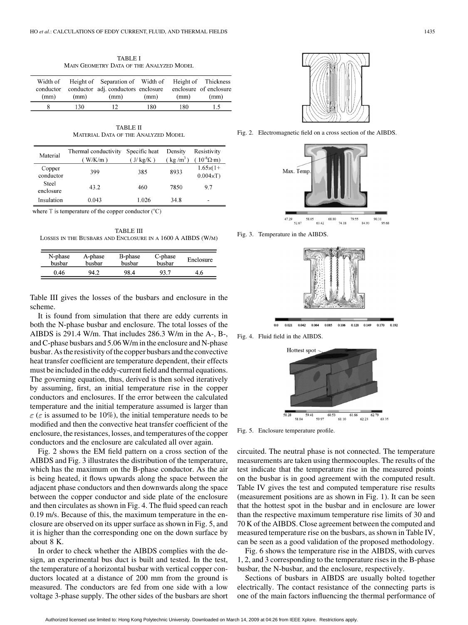TABLE I MAIN GEOMETRY DATA OF THE ANALYZED MODEL

<span id="page-2-0"></span>

| Width of<br>conductor |      | Height of Separation of Width of<br>conductor adj. conductors enclosure |      |      | Height of Thickness<br>enclosure of enclosure |
|-----------------------|------|-------------------------------------------------------------------------|------|------|-----------------------------------------------|
| (mm)                  | (mm) | (mm)                                                                    | (mm) | (mm) | (mm)                                          |
|                       | 130  |                                                                         | 180  | 180  | 1.5                                           |

TABLE II MATERIAL DATA OF THE ANALYZED MODEL

| Material            | Thermal conductivity<br>$W/K/m$ ) | Specific heat<br>$(J/\text{kg/K})$ | Density<br>$(kg/m^3)$ | Resistivity<br>$(10^{-8} \Omega \cdot m)$ |
|---------------------|-----------------------------------|------------------------------------|-----------------------|-------------------------------------------|
| Copper<br>conductor | 399                               | 385                                | 8933                  | $1.65\times(1+$<br>$0.004 \times T$       |
| Steel<br>enclosure  | 43.2                              | 460                                | 7850                  | 97                                        |
| Insulation          | 0.043                             | 1.026                              | 34.8                  |                                           |

where  $T$  is temperature of the copper conductor  $({}^{\circ}C)$ 

TABLE III LOSSES IN THE BUSBARS AND ENCLOSURE IN A 1600 A AIBDS (W/M)

| N-phase<br>busbar | B-phase<br>A-phase<br>busbar<br>busbar |      | C-phase<br>busbar | Enclosure |
|-------------------|----------------------------------------|------|-------------------|-----------|
| 0.46              | 94.2                                   | 98.4 | 93 7              | 4.6       |

Table III gives the losses of the busbars and enclosure in the scheme.

It is found from simulation that there are eddy currents in both the N-phase busbar and enclosure. The total losses of the AIBDS is 291.4 W/m. That includes 286.3 W/m in the A-, B-, and C-phase busbars and 5.06 W/m in the enclosure and N-phase busbar. As the resistivity of the copper busbars and the convective heat transfer coefficient are temperature dependent, their effects must be included in the eddy-current field and thermal equations. The governing equation, thus, derived is then solved iteratively by assuming, first, an initial temperature rise in the copper conductors and enclosures. If the error between the calculated temperature and the initial temperature assumed is larger than  $\varepsilon$  ( $\varepsilon$  is assumed to be 10%), the initial temperature needs to be modified and then the convective heat transfer coefficient of the enclosure, the resistances, losses, and temperatures of the copper conductors and the enclosure are calculated all over again.

Fig. 2 shows the EM field pattern on a cross section of the AIBDS and Fig. 3 illustrates the distribution of the temperature, which has the maximum on the B-phase conductor. As the air is being heated, it flows upwards along the space between the adjacent phase conductors and then downwards along the space between the copper conductor and side plate of the enclosure and then circulates as shown in Fig. 4. The fluid speed can reach 0.19 m/s. Because of this, the maximum temperature in the enclosure are observed on its upper surface as shown in Fig. 5, and it is higher than the corresponding one on the down surface by about 8 K.

In order to check whether the AIBDS complies with the design, an experimental bus duct is built and tested. In the test, the temperature of a horizontal busbar with vertical copper conductors located at a distance of 200 mm from the ground is measured. The conductors are fed from one side with a low voltage 3-phase supply. The other sides of the busbars are short



Fig. 2. Electromagnetic field on a cross section of the AIBDS.



Fig. 3. Temperature in the AIBDS.



0.021 0.042 0.064 0.085 0.106 0.128 0.170

Fig. 4. Fluid field in the AIBDS.



Fig. 5. Enclosure temperature profile.

circuited. The neutral phase is not connected. The temperature measurements are taken using thermocouples. The results of the test indicate that the temperature rise in the measured points on the busbar is in good agreement with the computed result. [Table IV](#page-3-0) gives the test and computed temperature rise results (measurement positions are as shown in [Fig. 1](#page-0-0)). It can be seen that the hottest spot in the busbar and in enclosure are lower than the respective maximum temperature rise limits of 30 and 70 K of the AIBDS. Close agreement between the computed and measured temperature rise on the busbars, as shown in [Table IV,](#page-3-0) can be seen as a good validation of the proposed methodology.

[Fig. 6](#page-3-0) shows the temperature rise in the AIBDS, with curves 1, 2, and 3 corresponding to the temperature rises in the B-phase busbar, the N-busbar, and the enclosure, respectively.

Sections of busbars in AIBDS are usually bolted together electrically. The contact resistance of the connecting parts is one of the main factors influencing the thermal performance of